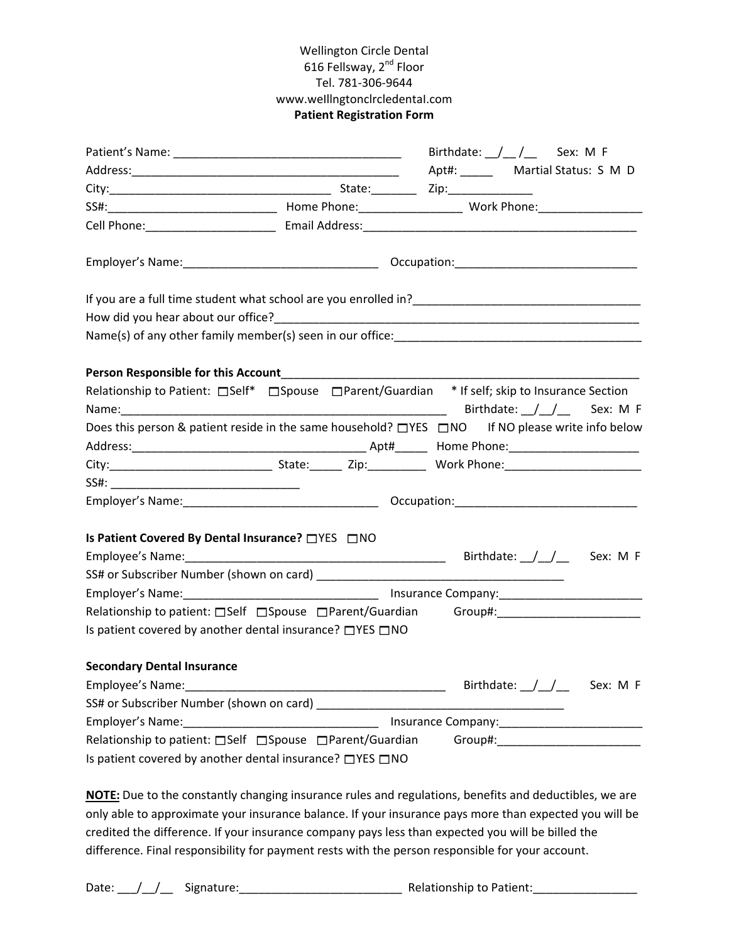## Wellington Circle Dental 616 Fellsway, 2<sup>nd</sup> Floor Tel. 781‐306‐9644 www.weIllngtonclrcledentaI.com **Patient Registration Form**

|                                                            |  | Birthdate: $\angle$ / $\angle$ Sex: M F                                                                                                                                                                                        |  |  |
|------------------------------------------------------------|--|--------------------------------------------------------------------------------------------------------------------------------------------------------------------------------------------------------------------------------|--|--|
|                                                            |  |                                                                                                                                                                                                                                |  |  |
|                                                            |  |                                                                                                                                                                                                                                |  |  |
|                                                            |  |                                                                                                                                                                                                                                |  |  |
|                                                            |  |                                                                                                                                                                                                                                |  |  |
|                                                            |  |                                                                                                                                                                                                                                |  |  |
|                                                            |  |                                                                                                                                                                                                                                |  |  |
|                                                            |  |                                                                                                                                                                                                                                |  |  |
|                                                            |  |                                                                                                                                                                                                                                |  |  |
|                                                            |  |                                                                                                                                                                                                                                |  |  |
|                                                            |  | Relationship to Patient: □Self* □Spouse □Parent/Guardian * If self; skip to Insurance Section                                                                                                                                  |  |  |
|                                                            |  |                                                                                                                                                                                                                                |  |  |
|                                                            |  | Does this person & patient reside in the same household? □YES □NO If NO please write info below                                                                                                                                |  |  |
|                                                            |  |                                                                                                                                                                                                                                |  |  |
|                                                            |  |                                                                                                                                                                                                                                |  |  |
|                                                            |  |                                                                                                                                                                                                                                |  |  |
|                                                            |  |                                                                                                                                                                                                                                |  |  |
|                                                            |  |                                                                                                                                                                                                                                |  |  |
| Is Patient Covered By Dental Insurance? □ YES □ NO         |  |                                                                                                                                                                                                                                |  |  |
|                                                            |  | Birthdate: $\frac{1}{2}$ Sex: M F                                                                                                                                                                                              |  |  |
|                                                            |  |                                                                                                                                                                                                                                |  |  |
|                                                            |  |                                                                                                                                                                                                                                |  |  |
|                                                            |  | Relationship to patient: Self Spouse Parent/Guardian Group#: ___________________                                                                                                                                               |  |  |
| Is patient covered by another dental insurance? □ YES □ NO |  |                                                                                                                                                                                                                                |  |  |
| <b>Secondary Dental Insurance</b>                          |  |                                                                                                                                                                                                                                |  |  |
| Employee's Name:                                           |  | Birthdate: $\frac{1}{\sqrt{1-\pi}}$ Sex: M F                                                                                                                                                                                   |  |  |
|                                                            |  |                                                                                                                                                                                                                                |  |  |
|                                                            |  |                                                                                                                                                                                                                                |  |  |
| Relationship to patient: □Self □Spouse □Parent/Guardian    |  | Group#: William Contract Contract Contract Contract Contract Contract Contract Contract Contract Contract Contract Contract Contract Contract Contract Contract Contract Contract Contract Contract Contract Contract Contract |  |  |
| Is patient covered by another dental insurance? □ YES □ NO |  |                                                                                                                                                                                                                                |  |  |

**NOTE:** Due to the constantly changing insurance rules and regulations, benefits and deductibles, we are only able to approximate your insurance balance. If your insurance pays more than expected you will be credited the difference. If your insurance company pays less than expected you will be billed the difference. Final responsibility for payment rests with the person responsible for your account.

Date: \_\_\_/\_\_/\_\_ Signature:\_\_\_\_\_\_\_\_\_\_\_\_\_\_\_\_\_\_\_\_\_\_\_\_\_ Relationship to Patient:\_\_\_\_\_\_\_\_\_\_\_\_\_\_\_\_